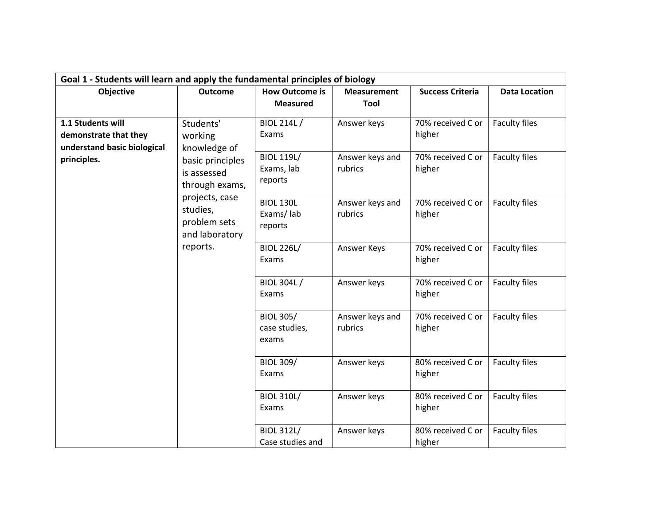| Goal 1 - Students will learn and apply the fundamental principles of biology |                                                                     |                                            |                             |                                                  |                                       |  |
|------------------------------------------------------------------------------|---------------------------------------------------------------------|--------------------------------------------|-----------------------------|--------------------------------------------------|---------------------------------------|--|
| Objective                                                                    | <b>Outcome</b>                                                      | <b>How Outcome is</b>                      | <b>Measurement</b>          | <b>Success Criteria</b>                          | <b>Data Location</b>                  |  |
|                                                                              |                                                                     | <b>Measured</b>                            | Tool                        |                                                  |                                       |  |
| 1.1 Students will<br>demonstrate that they<br>understand basic biological    | Students'<br>working<br>knowledge of                                | BIOL 214L /<br>Exams<br><b>BIOL 119L/</b>  | Answer keys                 | 70% received C or<br>higher<br>70% received C or | <b>Faculty files</b><br>Faculty files |  |
| principles.                                                                  | basic principles<br>is assessed<br>through exams,<br>projects, case | Exams, lab<br>reports                      | Answer keys and<br>rubrics  | higher                                           |                                       |  |
|                                                                              | studies,<br>problem sets<br>and laboratory                          | <b>BIOL 130L</b><br>Exams/lab<br>reports   | Answer keys and<br>rubrics  | 70% received C or<br>higher                      | <b>Faculty files</b>                  |  |
|                                                                              | reports.                                                            | <b>BIOL 226L/</b><br>Exams                 | Answer Keys                 | 70% received C or<br>higher                      | Faculty files                         |  |
|                                                                              |                                                                     | <b>BIOL 304L/</b><br>Exams                 | Answer keys                 | 70% received C or<br>higher                      | Faculty files                         |  |
|                                                                              |                                                                     | <b>BIOL 305/</b><br>case studies,<br>exams | Answer keys and<br>rubrics  | 70% received C or<br>higher                      | <b>Faculty files</b>                  |  |
|                                                                              | <b>BIOL 309/</b><br>Exams                                           | Answer keys                                | 80% received C or<br>higher | <b>Faculty files</b>                             |                                       |  |
|                                                                              |                                                                     | <b>BIOL 310L/</b><br>Exams                 | Answer keys                 | 80% received C or<br>higher                      | Faculty files                         |  |
|                                                                              |                                                                     | <b>BIOL 312L/</b><br>Case studies and      | Answer keys                 | 80% received C or<br>higher                      | Faculty files                         |  |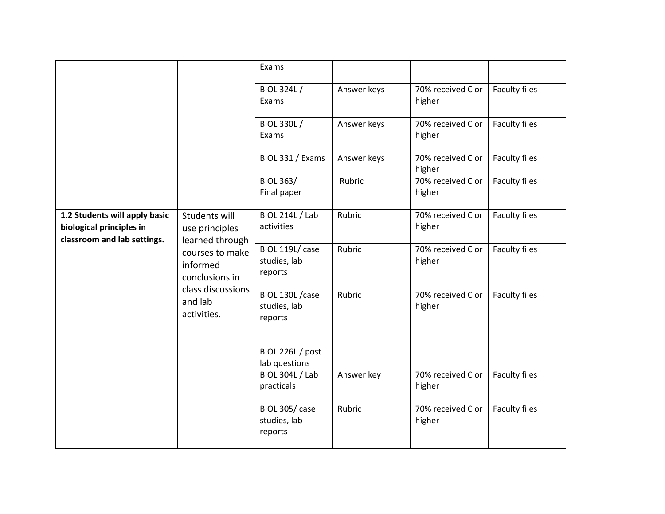|                                                                                          |                                                                                              | Exams                                       |             |                             |                      |
|------------------------------------------------------------------------------------------|----------------------------------------------------------------------------------------------|---------------------------------------------|-------------|-----------------------------|----------------------|
|                                                                                          |                                                                                              | <b>BIOL 324L/</b><br>Exams                  | Answer keys | 70% received C or<br>higher | <b>Faculty files</b> |
|                                                                                          |                                                                                              | <b>BIOL 330L /</b><br>Exams                 | Answer keys | 70% received C or<br>higher | Faculty files        |
|                                                                                          |                                                                                              | BIOL 331 / Exams                            | Answer keys | 70% received C or<br>higher | Faculty files        |
|                                                                                          |                                                                                              | <b>BIOL 363/</b><br>Final paper             | Rubric      | 70% received C or<br>higher | <b>Faculty files</b> |
| 1.2 Students will apply basic<br>biological principles in<br>classroom and lab settings. | Students will<br>use principles<br>learned through                                           | <b>BIOL 214L / Lab</b><br>activities        | Rubric      | 70% received C or<br>higher | Faculty files        |
|                                                                                          | courses to make<br>informed<br>conclusions in<br>class discussions<br>and lab<br>activities. | BIOL 119L/ case<br>studies, lab<br>reports  | Rubric      | 70% received C or<br>higher | Faculty files        |
|                                                                                          |                                                                                              | BIOL 130L / case<br>studies, lab<br>reports | Rubric      | 70% received C or<br>higher | Faculty files        |
|                                                                                          |                                                                                              | BIOL 226L / post<br>lab questions           |             |                             |                      |
|                                                                                          |                                                                                              | <b>BIOL 304L / Lab</b><br>practicals        | Answer key  | 70% received C or<br>higher | <b>Faculty files</b> |
|                                                                                          |                                                                                              | BIOL 305/ case<br>studies, lab<br>reports   | Rubric      | 70% received C or<br>higher | <b>Faculty files</b> |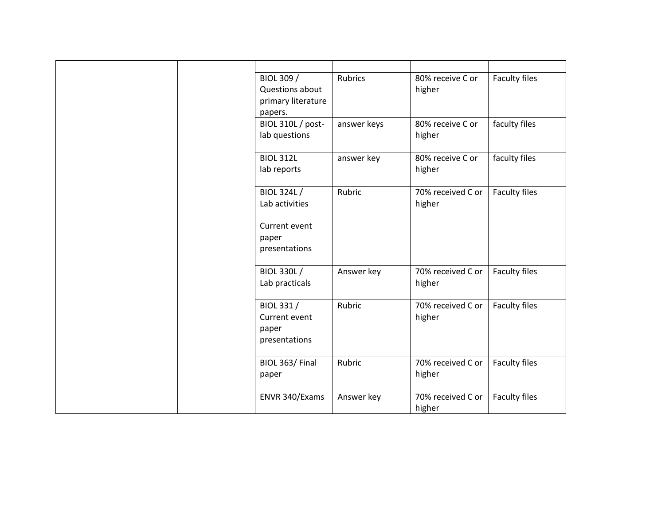|  | BIOL 309 /         | <b>Rubrics</b> | 80% receive C or  | <b>Faculty files</b> |
|--|--------------------|----------------|-------------------|----------------------|
|  | Questions about    |                | higher            |                      |
|  | primary literature |                |                   |                      |
|  | papers.            |                |                   |                      |
|  | BIOL 310L / post-  | answer keys    | 80% receive C or  | faculty files        |
|  | lab questions      |                | higher            |                      |
|  |                    |                |                   |                      |
|  | <b>BIOL 312L</b>   | answer key     | 80% receive C or  | faculty files        |
|  | lab reports        |                | higher            |                      |
|  |                    |                |                   |                      |
|  | <b>BIOL 324L/</b>  | Rubric         | 70% received C or | Faculty files        |
|  | Lab activities     |                | higher            |                      |
|  |                    |                |                   |                      |
|  | Current event      |                |                   |                      |
|  | paper              |                |                   |                      |
|  | presentations      |                |                   |                      |
|  |                    |                |                   |                      |
|  | <b>BIOL 330L/</b>  | Answer key     | 70% received C or | <b>Faculty files</b> |
|  | Lab practicals     |                | higher            |                      |
|  |                    |                |                   |                      |
|  | BIOL 331 /         | Rubric         | 70% received C or | Faculty files        |
|  | Current event      |                | higher            |                      |
|  | paper              |                |                   |                      |
|  | presentations      |                |                   |                      |
|  |                    |                |                   |                      |
|  | BIOL 363/Final     | Rubric         | 70% received C or | Faculty files        |
|  | paper              |                | higher            |                      |
|  |                    |                |                   |                      |
|  | ENVR 340/Exams     | Answer key     | 70% received C or | Faculty files        |
|  |                    |                | higher            |                      |
|  |                    |                |                   |                      |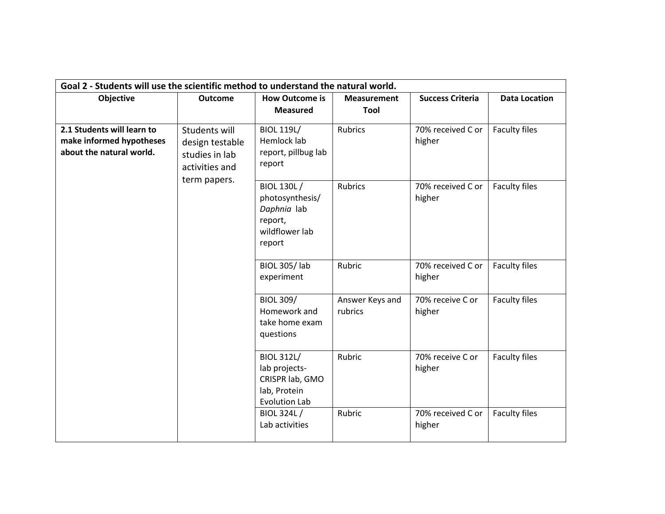|                                                                                    | Goal 2 - Students will use the scientific method to understand the natural world. |                                                                                               |                            |                             |                      |  |  |
|------------------------------------------------------------------------------------|-----------------------------------------------------------------------------------|-----------------------------------------------------------------------------------------------|----------------------------|-----------------------------|----------------------|--|--|
| Objective                                                                          | <b>Outcome</b>                                                                    | <b>How Outcome is</b>                                                                         | <b>Measurement</b>         | <b>Success Criteria</b>     | <b>Data Location</b> |  |  |
|                                                                                    |                                                                                   | <b>Measured</b>                                                                               | Tool                       |                             |                      |  |  |
| 2.1 Students will learn to<br>make informed hypotheses<br>about the natural world. | Students will<br>design testable<br>studies in lab<br>activities and              | <b>BIOL 119L/</b><br>Hemlock lab<br>report, pillbug lab<br>report                             | <b>Rubrics</b>             | 70% received C or<br>higher | <b>Faculty files</b> |  |  |
|                                                                                    | term papers.                                                                      | <b>BIOL 130L/</b><br>photosynthesis/<br>Daphnia lab<br>report,<br>wildflower lab<br>report    | <b>Rubrics</b>             | 70% received C or<br>higher | <b>Faculty files</b> |  |  |
|                                                                                    |                                                                                   | <b>BIOL 305/Iab</b><br>experiment                                                             | Rubric                     | 70% received C or<br>higher | <b>Faculty files</b> |  |  |
|                                                                                    |                                                                                   | <b>BIOL 309/</b><br>Homework and<br>take home exam<br>questions                               | Answer Keys and<br>rubrics | 70% receive C or<br>higher  | Faculty files        |  |  |
|                                                                                    |                                                                                   | <b>BIOL 312L/</b><br>lab projects-<br>CRISPR lab, GMO<br>lab, Protein<br><b>Evolution Lab</b> | Rubric                     | 70% receive C or<br>higher  | <b>Faculty files</b> |  |  |
|                                                                                    |                                                                                   | BIOL 324L/<br>Lab activities                                                                  | Rubric                     | 70% received C or<br>higher | Faculty files        |  |  |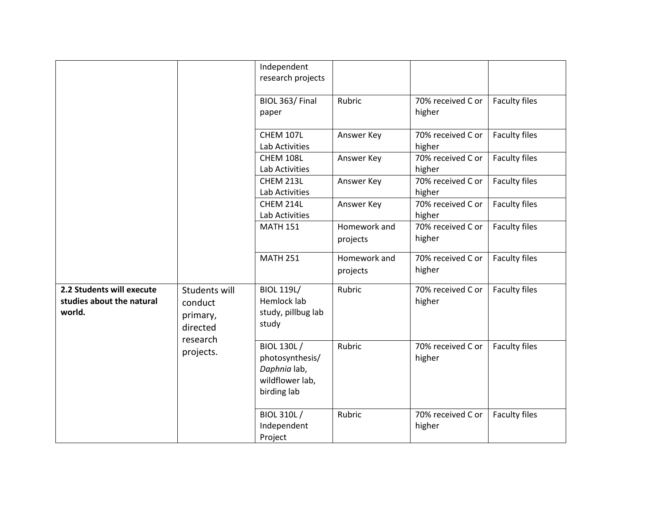|                                                                  |                                                  | Independent<br>research projects                                                       |                          |                             |                      |
|------------------------------------------------------------------|--------------------------------------------------|----------------------------------------------------------------------------------------|--------------------------|-----------------------------|----------------------|
|                                                                  |                                                  | BIOL 363/Final<br>paper                                                                | Rubric                   | 70% received C or<br>higher | <b>Faculty files</b> |
|                                                                  |                                                  | <b>CHEM 107L</b><br>Lab Activities                                                     | Answer Key               | 70% received C or<br>higher | Faculty files        |
|                                                                  |                                                  | CHEM 108L<br>Lab Activities                                                            | Answer Key               | 70% received C or<br>higher | Faculty files        |
|                                                                  |                                                  | CHEM 213L<br>Lab Activities                                                            | Answer Key               | 70% received C or<br>higher | <b>Faculty files</b> |
|                                                                  |                                                  | CHEM 214L<br>Lab Activities                                                            | Answer Key               | 70% received C or<br>higher | Faculty files        |
|                                                                  |                                                  | <b>MATH 151</b>                                                                        | Homework and<br>projects | 70% received C or<br>higher | <b>Faculty files</b> |
|                                                                  |                                                  | <b>MATH 251</b>                                                                        | Homework and<br>projects | 70% received C or<br>higher | Faculty files        |
| 2.2 Students will execute<br>studies about the natural<br>world. | Students will<br>conduct<br>primary,<br>directed | <b>BIOL 119L/</b><br>Hemlock lab<br>study, pillbug lab<br>study                        | Rubric                   | 70% received C or<br>higher | Faculty files        |
|                                                                  | research<br>projects.                            | <b>BIOL 130L/</b><br>photosynthesis/<br>Daphnia lab,<br>wildflower lab,<br>birding lab | Rubric                   | 70% received C or<br>higher | <b>Faculty files</b> |
|                                                                  |                                                  | BIOL 310L /<br>Independent<br>Project                                                  | Rubric                   | 70% received C or<br>higher | <b>Faculty files</b> |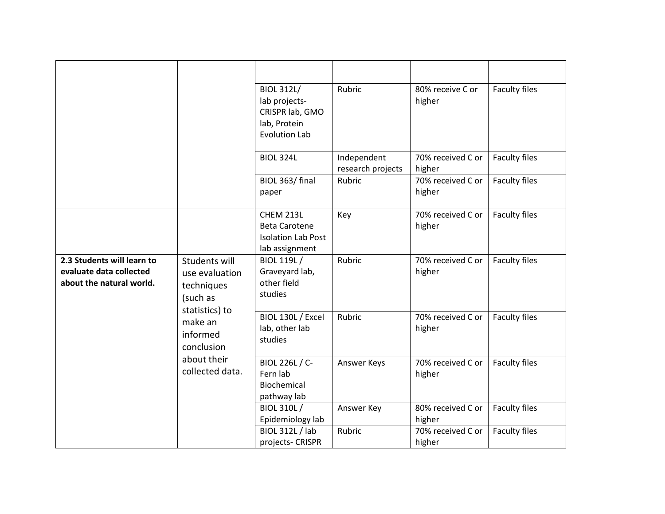|                                                                                                                                                  |                                                                                     | <b>BIOL 312L/</b><br>lab projects-<br>CRISPR lab, GMO<br>lab, Protein<br><b>Evolution Lab</b> | Rubric                           | 80% receive C or<br>higher  | Faculty files        |
|--------------------------------------------------------------------------------------------------------------------------------------------------|-------------------------------------------------------------------------------------|-----------------------------------------------------------------------------------------------|----------------------------------|-----------------------------|----------------------|
|                                                                                                                                                  |                                                                                     | <b>BIOL 324L</b>                                                                              | Independent<br>research projects | 70% received C or<br>higher | <b>Faculty files</b> |
|                                                                                                                                                  |                                                                                     | BIOL 363/ final<br>paper                                                                      | Rubric                           | 70% received C or<br>higher | Faculty files        |
|                                                                                                                                                  |                                                                                     | CHEM 213L<br><b>Beta Carotene</b><br><b>Isolation Lab Post</b><br>lab assignment              | Key                              | 70% received C or<br>higher | Faculty files        |
| 2.3 Students will learn to<br>evaluate data collected<br>about the natural world.<br>techniques<br>(such as<br>make an<br>informed<br>conclusion | Students will<br>use evaluation<br>statistics) to<br>about their<br>collected data. | <b>BIOL 119L/</b><br>Graveyard lab,<br>other field<br>studies                                 | Rubric                           | 70% received C or<br>higher | <b>Faculty files</b> |
|                                                                                                                                                  |                                                                                     | BIOL 130L / Excel<br>lab, other lab<br>studies                                                | Rubric                           | 70% received C or<br>higher | Faculty files        |
|                                                                                                                                                  |                                                                                     | BIOL 226L / C-<br>Fern lab<br>Biochemical<br>pathway lab                                      | Answer Keys                      | 70% received C or<br>higher | Faculty files        |
|                                                                                                                                                  |                                                                                     | <b>BIOL 310L/</b><br>Epidemiology lab                                                         | Answer Key                       | 80% received C or<br>higher | Faculty files        |
|                                                                                                                                                  |                                                                                     | <b>BIOL 312L / lab</b><br>projects- CRISPR                                                    | Rubric                           | 70% received C or<br>higher | Faculty files        |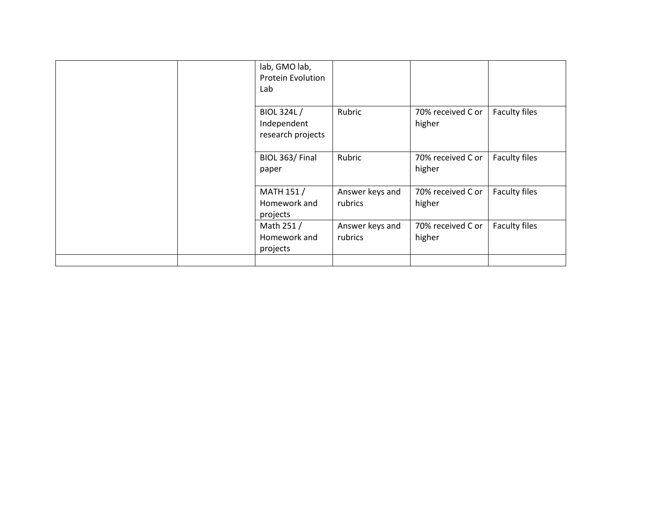| lab, GMO lab,<br><b>Protein Evolution</b><br>Lab |                            |                             |               |
|--------------------------------------------------|----------------------------|-----------------------------|---------------|
| BIOL 324L/<br>Independent<br>research projects   | Rubric                     | 70% received C or<br>higher | Faculty files |
| BIOL 363/Final<br>paper                          | Rubric                     | 70% received C or<br>higher | Faculty files |
| <b>MATH 151/</b><br>Homework and<br>projects     | Answer keys and<br>rubrics | 70% received C or<br>higher | Faculty files |
| Math 251 /<br>Homework and<br>projects           | Answer keys and<br>rubrics | 70% received C or<br>higher | Faculty files |
|                                                  |                            |                             |               |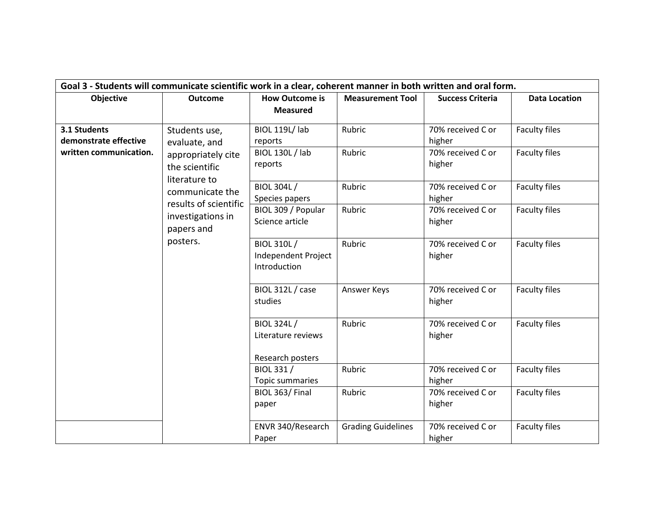| Goal 3 - Students will communicate scientific work in a clear, coherent manner in both written and oral form. |                                                                                               |                                                       |                             |                                   |                      |                             |                      |
|---------------------------------------------------------------------------------------------------------------|-----------------------------------------------------------------------------------------------|-------------------------------------------------------|-----------------------------|-----------------------------------|----------------------|-----------------------------|----------------------|
| Objective                                                                                                     | <b>How Outcome is</b><br><b>Measurement Tool</b><br><b>Success Criteria</b><br><b>Outcome</b> |                                                       |                             |                                   | <b>Data Location</b> |                             |                      |
|                                                                                                               |                                                                                               | <b>Measured</b>                                       |                             |                                   |                      |                             |                      |
| 3.1 Students<br>demonstrate effective                                                                         | Students use,                                                                                 | <b>BIOL 119L/ lab</b><br>reports                      | Rubric                      | 70% received C or<br>higher       | <b>Faculty files</b> |                             |                      |
| written communication.                                                                                        | evaluate, and<br>appropriately cite<br>the scientific                                         |                                                       |                             | <b>BIOL 130L / lab</b><br>reports | Rubric               | 70% received C or<br>higher | <b>Faculty files</b> |
|                                                                                                               | literature to<br>communicate the<br>results of scientific                                     | <b>BIOL 304L/</b><br>Species papers                   | Rubric                      | 70% received C or<br>higher       | Faculty files        |                             |                      |
|                                                                                                               | investigations in<br>papers and                                                               | BIOL 309 / Popular<br>Science article                 | Rubric                      | 70% received C or<br>higher       | <b>Faculty files</b> |                             |                      |
| posters.                                                                                                      | BIOL 310L /<br>Independent Project<br>Introduction                                            | Rubric                                                | 70% received C or<br>higher | Faculty files                     |                      |                             |                      |
|                                                                                                               |                                                                                               | BIOL 312L / case<br>studies                           | Answer Keys                 | 70% received C or<br>higher       | <b>Faculty files</b> |                             |                      |
|                                                                                                               |                                                                                               | BIOL 324L /<br>Literature reviews<br>Research posters | Rubric                      | 70% received C or<br>higher       | Faculty files        |                             |                      |
|                                                                                                               |                                                                                               | BIOL 331 /<br>Topic summaries                         | Rubric                      | 70% received C or<br>higher       | <b>Faculty files</b> |                             |                      |
|                                                                                                               |                                                                                               | BIOL 363/Final<br>paper                               | Rubric                      | 70% received C or<br>higher       | Faculty files        |                             |                      |
|                                                                                                               |                                                                                               | ENVR 340/Research<br>Paper                            | <b>Grading Guidelines</b>   | 70% received C or<br>higher       | Faculty files        |                             |                      |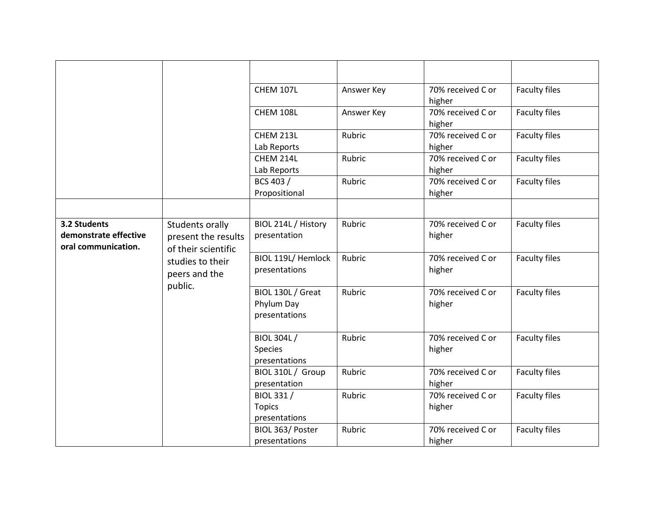|                                            |                     | <b>CHEM 107L</b>            | Answer Key | 70% received C or           | <b>Faculty files</b> |
|--------------------------------------------|---------------------|-----------------------------|------------|-----------------------------|----------------------|
|                                            |                     |                             |            | higher                      |                      |
|                                            |                     | CHEM 108L                   | Answer Key | 70% received C or           | <b>Faculty files</b> |
|                                            |                     |                             |            | higher                      |                      |
|                                            |                     | CHEM 213L                   | Rubric     | 70% received C or           | <b>Faculty files</b> |
|                                            |                     | Lab Reports                 |            | higher                      |                      |
|                                            |                     | CHEM 214L                   | Rubric     | 70% received C or           | Faculty files        |
|                                            |                     | Lab Reports                 |            | higher                      |                      |
|                                            |                     | BCS 403 /                   | Rubric     | 70% received C or           | <b>Faculty files</b> |
|                                            |                     | Propositional               |            | higher                      |                      |
|                                            |                     |                             |            |                             |                      |
| 3.2 Students                               | Students orally     | BIOL 214L / History         | Rubric     | 70% received C or           | <b>Faculty files</b> |
| demonstrate effective                      | present the results | presentation                |            | higher                      |                      |
| oral communication.<br>of their scientific |                     |                             |            |                             |                      |
|                                            | studies to their    | BIOL 119L/ Hemlock          | Rubric     | 70% received C or           | <b>Faculty files</b> |
|                                            | peers and the       | presentations               |            | higher                      |                      |
|                                            | public.             |                             |            |                             |                      |
|                                            |                     | BIOL 130L / Great           | Rubric     | 70% received C or           | <b>Faculty files</b> |
|                                            |                     | Phylum Day                  |            | higher                      |                      |
|                                            |                     | presentations               |            |                             |                      |
|                                            |                     |                             |            |                             |                      |
|                                            |                     | <b>BIOL 304L/</b>           | Rubric     | 70% received C or           | <b>Faculty files</b> |
|                                            |                     | Species                     |            | higher                      |                      |
|                                            |                     | presentations               |            |                             |                      |
|                                            |                     | BIOL 310L / Group           | Rubric     | 70% received C or           | Faculty files        |
|                                            |                     | presentation                | Rubric     | higher<br>70% received C or |                      |
|                                            |                     | BIOL 331 /<br><b>Topics</b> |            |                             | <b>Faculty files</b> |
|                                            |                     | presentations               |            | higher                      |                      |
|                                            |                     | BIOL 363/ Poster            | Rubric     | 70% received C or           |                      |
|                                            |                     | presentations               |            |                             | <b>Faculty files</b> |
|                                            |                     |                             |            | higher                      |                      |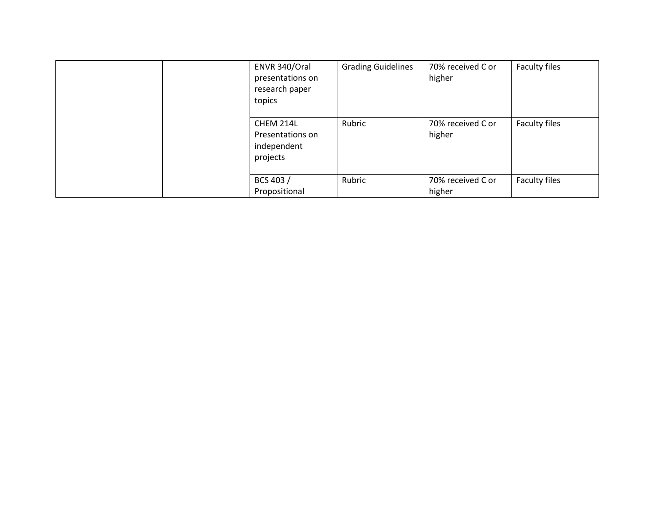| ENVR 340/Oral<br>presentations on<br>research paper<br>topics | <b>Grading Guidelines</b> | 70% received C or<br>higher | Faculty files |
|---------------------------------------------------------------|---------------------------|-----------------------------|---------------|
| CHEM 214L<br>Presentations on<br>independent<br>projects      | Rubric                    | 70% received C or<br>higher | Faculty files |
| BCS 403 /<br>Propositional                                    | Rubric                    | 70% received C or<br>higher | Faculty files |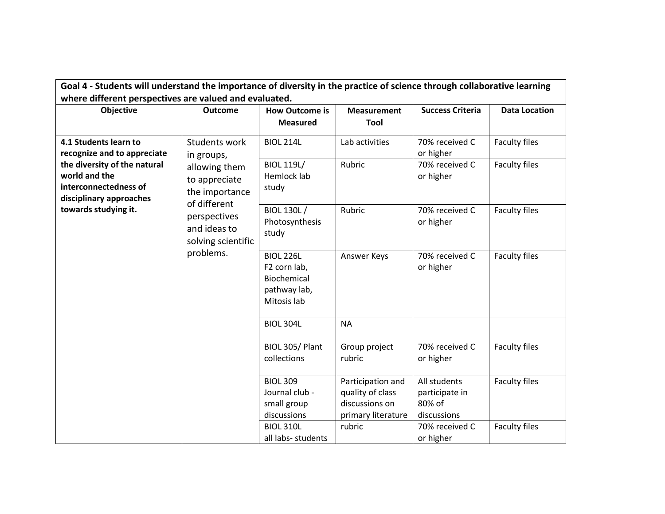| Goal 4 - Students will understand the importance of diversity in the practice of science through collaborative learning   |                                                                    |                                                                                |                                                                               |                                                         |                      |  |  |
|---------------------------------------------------------------------------------------------------------------------------|--------------------------------------------------------------------|--------------------------------------------------------------------------------|-------------------------------------------------------------------------------|---------------------------------------------------------|----------------------|--|--|
| where different perspectives are valued and evaluated.<br>Objective                                                       | <b>Outcome</b>                                                     | <b>How Outcome is</b><br><b>Measured</b>                                       | <b>Measurement</b><br>Tool                                                    | <b>Success Criteria</b>                                 | <b>Data Location</b> |  |  |
| 4.1 Students learn to<br>recognize and to appreciate                                                                      | Students work<br>in groups,                                        | <b>BIOL 214L</b>                                                               | Lab activities<br>Rubric                                                      | 70% received C<br>or higher                             | Faculty files        |  |  |
| the diversity of the natural<br>world and the<br>interconnectedness of<br>disciplinary approaches<br>towards studying it. | allowing them<br>to appreciate<br>the importance                   | <b>BIOL 119L/</b><br>Hemlock lab<br>study                                      |                                                                               | 70% received C<br>or higher                             | Faculty files        |  |  |
|                                                                                                                           | of different<br>perspectives<br>and ideas to<br>solving scientific | <b>BIOL 130L/</b><br>Photosynthesis<br>study                                   | Rubric                                                                        | 70% received C<br>or higher                             | <b>Faculty files</b> |  |  |
|                                                                                                                           | problems.                                                          | <b>BIOL 226L</b><br>F2 corn lab,<br>Biochemical<br>pathway lab,<br>Mitosis lab | Answer Keys                                                                   | 70% received C<br>or higher                             | <b>Faculty files</b> |  |  |
|                                                                                                                           |                                                                    | <b>BIOL 304L</b>                                                               | <b>NA</b>                                                                     |                                                         |                      |  |  |
|                                                                                                                           |                                                                    | BIOL 305/Plant<br>collections                                                  | Group project<br>rubric                                                       | 70% received C<br>or higher                             | <b>Faculty files</b> |  |  |
|                                                                                                                           |                                                                    | <b>BIOL 309</b><br>Journal club -<br>small group<br>discussions                | Participation and<br>quality of class<br>discussions on<br>primary literature | All students<br>participate in<br>80% of<br>discussions | <b>Faculty files</b> |  |  |
|                                                                                                                           |                                                                    | <b>BIOL 310L</b><br>all labs- students                                         | rubric                                                                        | 70% received C<br>or higher                             | <b>Faculty files</b> |  |  |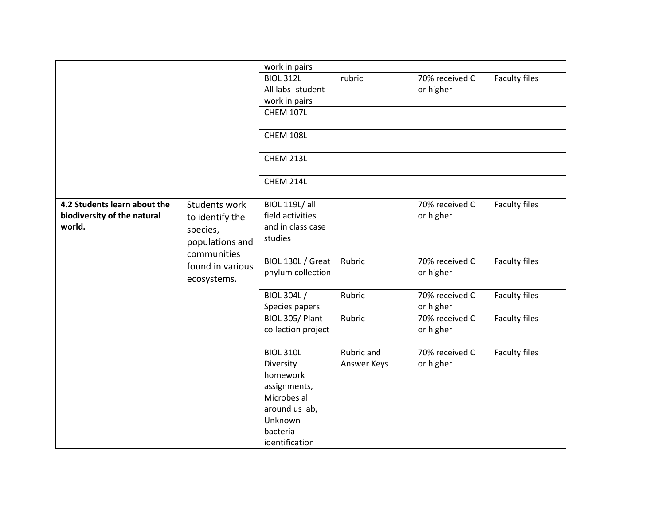|                              |                  | work in pairs         |             |                |                      |
|------------------------------|------------------|-----------------------|-------------|----------------|----------------------|
|                              |                  | <b>BIOL 312L</b>      | rubric      | 70% received C | <b>Faculty files</b> |
|                              |                  | All labs- student     |             | or higher      |                      |
|                              |                  | work in pairs         |             |                |                      |
|                              |                  | <b>CHEM 107L</b>      |             |                |                      |
|                              |                  |                       |             |                |                      |
|                              |                  | CHEM 108L             |             |                |                      |
|                              |                  |                       |             |                |                      |
|                              |                  | CHEM 213L             |             |                |                      |
|                              |                  |                       |             |                |                      |
|                              |                  | CHEM 214L             |             |                |                      |
|                              |                  |                       |             |                |                      |
| 4.2 Students learn about the | Students work    | <b>BIOL 119L/ all</b> |             | 70% received C | Faculty files        |
| biodiversity of the natural  | to identify the  | field activities      |             | or higher      |                      |
| world.                       | species,         | and in class case     |             |                |                      |
|                              |                  | studies               |             |                |                      |
|                              | populations and  |                       |             |                |                      |
|                              | communities      | BIOL 130L / Great     | Rubric      | 70% received C | Faculty files        |
|                              | found in various | phylum collection     |             | or higher      |                      |
|                              | ecosystems.      |                       |             |                |                      |
|                              |                  | <b>BIOL 304L/</b>     | Rubric      | 70% received C | <b>Faculty files</b> |
|                              |                  | Species papers        |             | or higher      |                      |
|                              |                  | BIOL 305/Plant        | Rubric      | 70% received C | Faculty files        |
|                              |                  | collection project    |             | or higher      |                      |
|                              |                  |                       |             |                |                      |
|                              |                  | <b>BIOL 310L</b>      | Rubric and  | 70% received C | Faculty files        |
|                              |                  | Diversity             | Answer Keys | or higher      |                      |
|                              |                  | homework              |             |                |                      |
|                              |                  | assignments,          |             |                |                      |
|                              |                  | Microbes all          |             |                |                      |
|                              |                  | around us lab,        |             |                |                      |
|                              |                  | Unknown               |             |                |                      |
|                              |                  | bacteria              |             |                |                      |
|                              |                  | identification        |             |                |                      |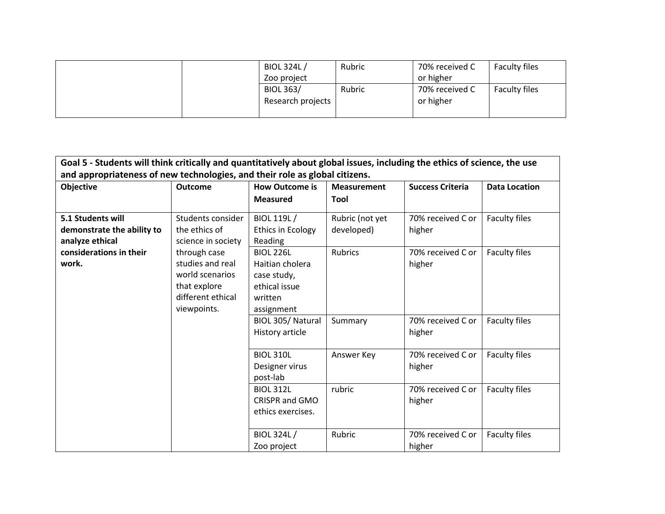| <b>BIOL 324L/</b><br>Zoo project      | Rubric | 70% received C<br>or higher | <b>Faculty files</b> |
|---------------------------------------|--------|-----------------------------|----------------------|
| <b>BIOL 363/</b><br>Research projects | Rubric | 70% received C<br>or higher | Faculty files        |

| Goal 5 - Students will think critically and quantitatively about global issues, including the ethics of science, the use                    |                                                          |                                                                                              |                               |                             |                      |  |
|---------------------------------------------------------------------------------------------------------------------------------------------|----------------------------------------------------------|----------------------------------------------------------------------------------------------|-------------------------------|-----------------------------|----------------------|--|
| and appropriateness of new technologies, and their role as global citizens.                                                                 |                                                          |                                                                                              |                               |                             |                      |  |
| Objective                                                                                                                                   | <b>Outcome</b>                                           | <b>How Outcome is</b>                                                                        | <b>Measurement</b>            | <b>Success Criteria</b>     | <b>Data Location</b> |  |
|                                                                                                                                             |                                                          | <b>Measured</b>                                                                              | Tool                          |                             |                      |  |
| 5.1 Students will<br>demonstrate the ability to<br>analyze ethical                                                                          | Students consider<br>the ethics of<br>science in society | BIOL 119L/<br><b>Ethics in Ecology</b><br>Reading                                            | Rubric (not yet<br>developed) | 70% received C or<br>higher | Faculty files        |  |
| considerations in their<br>through case<br>studies and real<br>work.<br>world scenarios<br>that explore<br>different ethical<br>viewpoints. |                                                          | <b>BIOL 226L</b><br>Haitian cholera<br>case study,<br>ethical issue<br>written<br>assignment | <b>Rubrics</b>                | 70% received C or<br>higher | Faculty files        |  |
|                                                                                                                                             | BIOL 305/Natural<br>History article                      | Summary                                                                                      | 70% received C or<br>higher   | Faculty files               |                      |  |
|                                                                                                                                             |                                                          | <b>BIOL 310L</b><br>Designer virus<br>post-lab                                               | Answer Key                    | 70% received C or<br>higher | Faculty files        |  |
|                                                                                                                                             |                                                          | <b>BIOL 312L</b><br><b>CRISPR and GMO</b><br>ethics exercises.                               | rubric                        | 70% received C or<br>higher | Faculty files        |  |
|                                                                                                                                             |                                                          | BIOL 324L/<br>Zoo project                                                                    | Rubric                        | 70% received C or<br>higher | Faculty files        |  |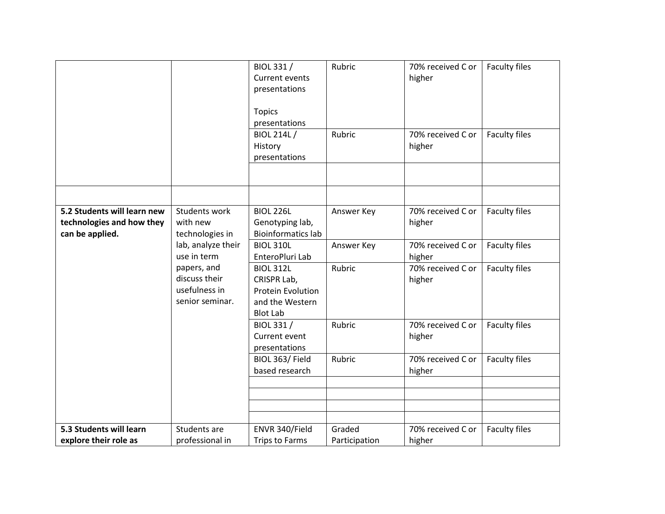|                                                          |                                                                  | BIOL 331 /<br><b>Current events</b><br>presentations<br><b>Topics</b><br>presentations<br><b>BIOL 214L/</b><br>History<br>presentations | Rubric<br>Rubric | 70% received C or<br>higher<br>70% received C or<br>higher | <b>Faculty files</b><br>Faculty files |
|----------------------------------------------------------|------------------------------------------------------------------|-----------------------------------------------------------------------------------------------------------------------------------------|------------------|------------------------------------------------------------|---------------------------------------|
|                                                          |                                                                  |                                                                                                                                         |                  |                                                            |                                       |
|                                                          |                                                                  |                                                                                                                                         |                  |                                                            |                                       |
| 5.2 Students will learn new<br>technologies and how they | Students work<br>with new                                        | <b>BIOL 226L</b><br>Genotyping lab,                                                                                                     | Answer Key       | 70% received C or<br>higher                                | <b>Faculty files</b>                  |
| can be applied.                                          | technologies in                                                  | <b>Bioinformatics lab</b>                                                                                                               |                  |                                                            |                                       |
|                                                          | lab, analyze their<br>use in term                                | <b>BIOL 310L</b><br>EnteroPluri Lab                                                                                                     | Answer Key       | 70% received C or<br>higher                                | Faculty files                         |
|                                                          | papers, and<br>discuss their<br>usefulness in<br>senior seminar. | <b>BIOL 312L</b><br>CRISPR Lab,<br>Protein Evolution<br>and the Western<br><b>Blot Lab</b>                                              | Rubric           | 70% received C or<br>higher                                | <b>Faculty files</b>                  |
|                                                          |                                                                  | BIOL 331 /<br>Current event<br>presentations                                                                                            | Rubric           | 70% received C or<br>higher                                | <b>Faculty files</b>                  |
|                                                          |                                                                  | BIOL 363/Field<br>based research                                                                                                        | Rubric           | 70% received C or<br>higher                                | Faculty files                         |
|                                                          |                                                                  |                                                                                                                                         |                  |                                                            |                                       |
|                                                          |                                                                  |                                                                                                                                         |                  |                                                            |                                       |
|                                                          |                                                                  |                                                                                                                                         |                  |                                                            |                                       |
| 5.3 Students will learn                                  | Students are                                                     | ENVR 340/Field                                                                                                                          | Graded           | 70% received C or                                          | <b>Faculty files</b>                  |
| explore their role as                                    | professional in                                                  | Trips to Farms                                                                                                                          | Participation    | higher                                                     |                                       |